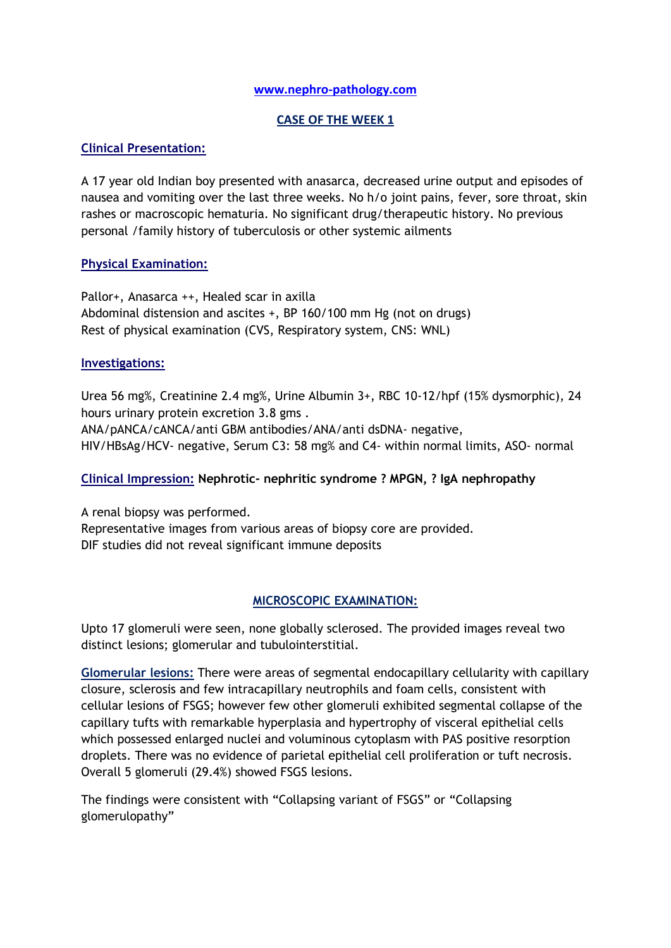#### **[www.nephro-pathology.com](http://www.nephro-pathology.com/)**

#### **CASE OF THE WEEK 1**

### **Clinical Presentation:**

A 17 year old Indian boy presented with anasarca, decreased urine output and episodes of nausea and vomiting over the last three weeks. No h/o joint pains, fever, sore throat, skin rashes or macroscopic hematuria. No significant drug/therapeutic history. No previous personal /family history of tuberculosis or other systemic ailments

### **Physical Examination:**

Pallor+, Anasarca ++, Healed scar in axilla Abdominal distension and ascites +, BP 160/100 mm Hg (not on drugs) Rest of physical examination (CVS, Respiratory system, CNS: WNL)

### **Investigations:**

Urea 56 mg%, Creatinine 2.4 mg%, Urine Albumin 3+, RBC 10-12/hpf (15% dysmorphic), 24 hours urinary protein excretion 3.8 gms . ANA/pANCA/cANCA/anti GBM antibodies/ANA/anti dsDNA- negative, HIV/HBsAg/HCV- negative, Serum C3: 58 mg% and C4- within normal limits, ASO- normal

### **Clinical Impression: Nephrotic- nephritic syndrome ? MPGN, ? IgA nephropathy**

A renal biopsy was performed. Representative images from various areas of biopsy core are provided. DIF studies did not reveal significant immune deposits

### **MICROSCOPIC EXAMINATION:**

Upto 17 glomeruli were seen, none globally sclerosed. The provided images reveal two distinct lesions; glomerular and tubulointerstitial.

**Glomerular lesions:** There were areas of segmental endocapillary cellularity with capillary closure, sclerosis and few intracapillary neutrophils and foam cells, consistent with cellular lesions of FSGS; however few other glomeruli exhibited segmental collapse of the capillary tufts with remarkable hyperplasia and hypertrophy of visceral epithelial cells which possessed enlarged nuclei and voluminous cytoplasm with PAS positive resorption droplets. There was no evidence of parietal epithelial cell proliferation or tuft necrosis. Overall 5 glomeruli (29.4%) showed FSGS lesions.

The findings were consistent with "Collapsing variant of FSGS" or "Collapsing glomerulopathy"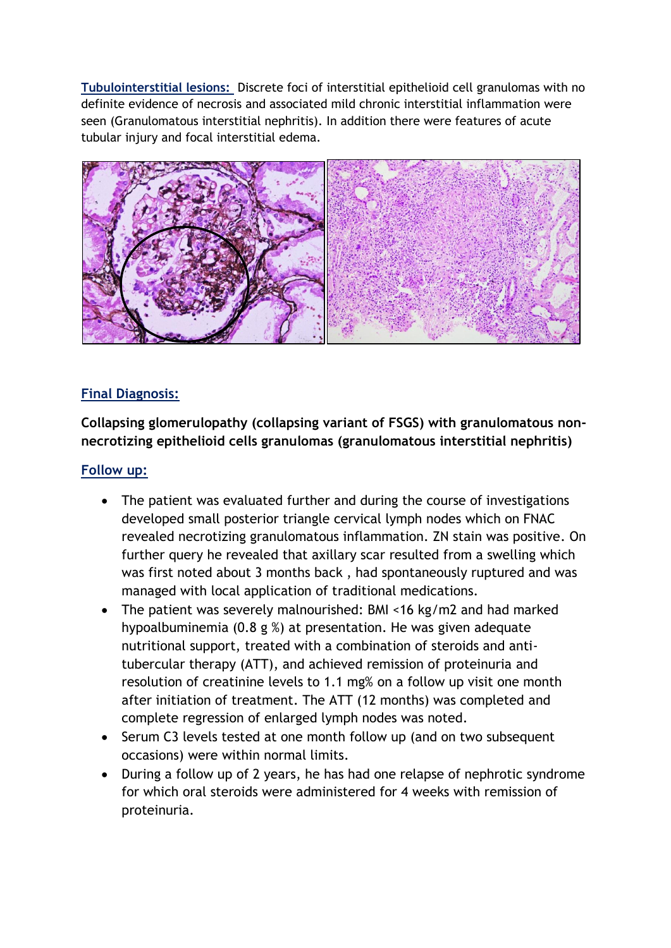**Tubulointerstitial lesions:** Discrete foci of interstitial epithelioid cell granulomas with no definite evidence of necrosis and associated mild chronic interstitial inflammation were seen (Granulomatous interstitial nephritis). In addition there were features of acute tubular injury and focal interstitial edema.



### **Final Diagnosis:**

**Collapsing glomerulopathy (collapsing variant of FSGS) with granulomatous nonnecrotizing epithelioid cells granulomas (granulomatous interstitial nephritis)**

### **Follow up:**

- The patient was evaluated further and during the course of investigations developed small posterior triangle cervical lymph nodes which on FNAC revealed necrotizing granulomatous inflammation. ZN stain was positive. On further query he revealed that axillary scar resulted from a swelling which was first noted about 3 months back , had spontaneously ruptured and was managed with local application of traditional medications.
- The patient was severely malnourished: BMI <16 kg/m2 and had marked hypoalbuminemia (0.8 g %) at presentation. He was given adequate nutritional support, treated with a combination of steroids and antitubercular therapy (ATT), and achieved remission of proteinuria and resolution of creatinine levels to 1.1 mg% on a follow up visit one month after initiation of treatment. The ATT (12 months) was completed and complete regression of enlarged lymph nodes was noted.
- Serum C3 levels tested at one month follow up (and on two subsequent occasions) were within normal limits.
- During a follow up of 2 years, he has had one relapse of nephrotic syndrome for which oral steroids were administered for 4 weeks with remission of proteinuria.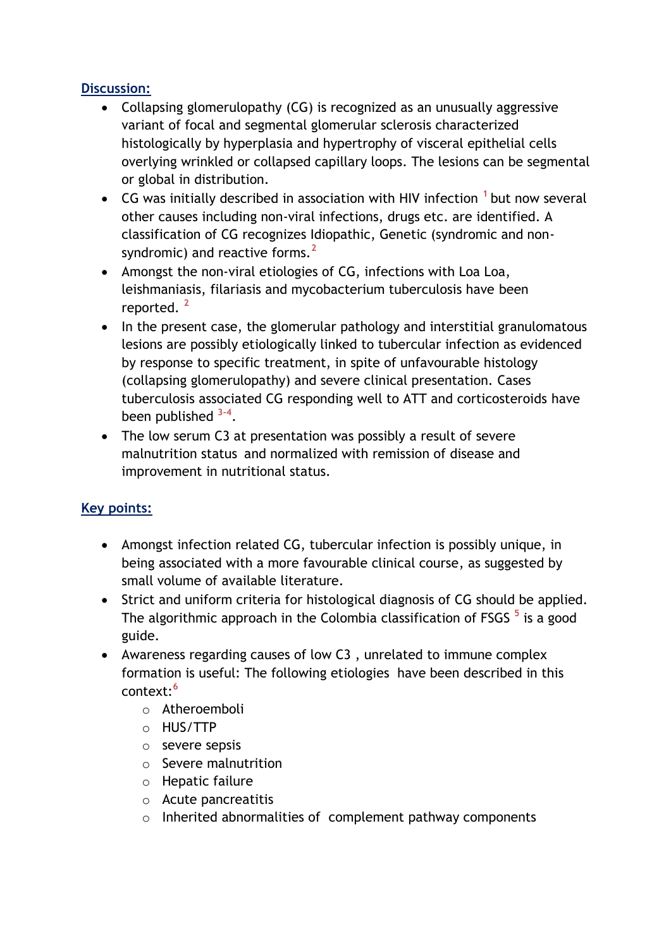# **Discussion:**

- Collapsing glomerulopathy (CG) is recognized as an unusually aggressive variant of focal and segmental glomerular sclerosis characterized histologically by hyperplasia and hypertrophy of visceral epithelial cells overlying wrinkled or collapsed capillary loops. The lesions can be segmental or global in distribution.
- CG was initially described in association with HIV infection **<sup>1</sup>** but now several other causes including non-viral infections, drugs etc. are identified. A classification of CG recognizes Idiopathic, Genetic (syndromic and nonsyndromic) and reactive forms.**<sup>2</sup>**
- Amongst the non-viral etiologies of CG, infections with Loa Loa, leishmaniasis, filariasis and mycobacterium tuberculosis have been reported. **<sup>2</sup>**
- In the present case, the glomerular pathology and interstitial granulomatous lesions are possibly etiologically linked to tubercular infection as evidenced by response to specific treatment, in spite of unfavourable histology (collapsing glomerulopathy) and severe clinical presentation. Cases tuberculosis associated CG responding well to ATT and corticosteroids have been published **3-4** .
- The low serum C3 at presentation was possibly a result of severe malnutrition status and normalized with remission of disease and improvement in nutritional status.

# **Key points:**

- Amongst infection related CG, tubercular infection is possibly unique, in being associated with a more favourable clinical course, as suggested by small volume of available literature.
- Strict and uniform criteria for histological diagnosis of CG should be applied. The algorithmic approach in the Colombia classification of FSGS **<sup>5</sup>** is a good guide.
- Awareness regarding causes of low C3 , unrelated to immune complex formation is useful: The following etiologies have been described in this context:**<sup>6</sup>**
	- o Atheroemboli
	- o HUS/TTP
	- o severe sepsis
	- o Severe malnutrition
	- o Hepatic failure
	- o Acute pancreatitis
	- o Inherited abnormalities of complement pathway components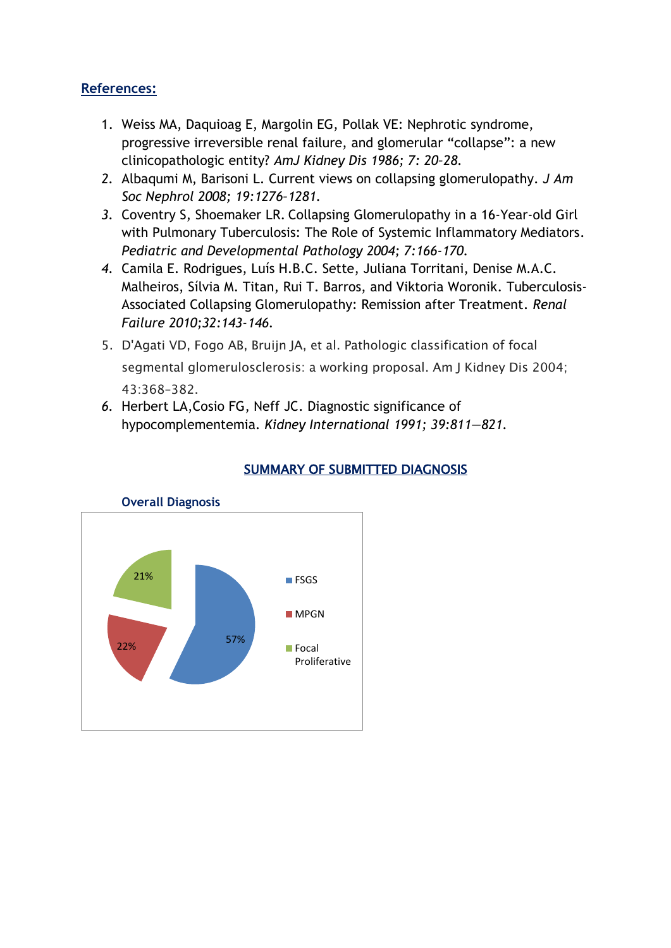# **References:**

- 1. Weiss MA, Daquioag E, Margolin EG, Pollak VE: Nephrotic syndrome, progressive irreversible renal failure, and glomerular "collapse": a new clinicopathologic entity? *AmJ Kidney Dis 1986; 7: 20–28.*
- *2.* Albaqumi M, Barisoni L. Current views on collapsing glomerulopathy. *J Am Soc Nephrol 2008; 19:1276–1281.*
- *3.* Coventry S, Shoemaker LR. Collapsing Glomerulopathy in a 16-Year-old Girl with Pulmonary Tuberculosis: The Role of Systemic Inflammatory Mediators. *Pediatric and Developmental Pathology 2004; 7:166-170.*
- *4.* Camila E. Rodrigues, Luís H.B.C. Sette, Juliana Torritani, Denise M.A.C. Malheiros, Sílvia M. Titan, Rui T. Barros, and Viktoria Woronik. Tuberculosis-Associated Collapsing Glomerulopathy: Remission after Treatment*. Renal Failure 2010;32:143-146.*
- 5. D'Agati VD, Fogo AB, Bruijn JA, et al. Pathologic classification of focal segmental glomerulosclerosis: a working proposal. Am J Kidney Dis 2004; 43:368–382.
- *6.* Herbert LA,Cosio FG, Neff JC. Diagnostic significance of hypocomplementemia. *Kidney International 1991; 39:811—821.*



# SUMMARY OF SUBMITTED DIAGNOSIS